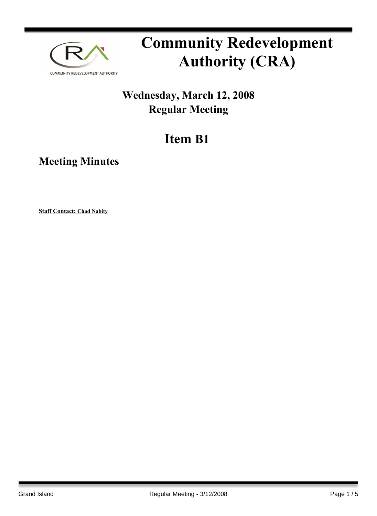

# **Community Redevelopment Authority (CRA)**

### **Wednesday, March 12, 2008 Regular Meeting**

## **Item B1**

**Meeting Minutes**

**Staff Contact: Chad Nabity**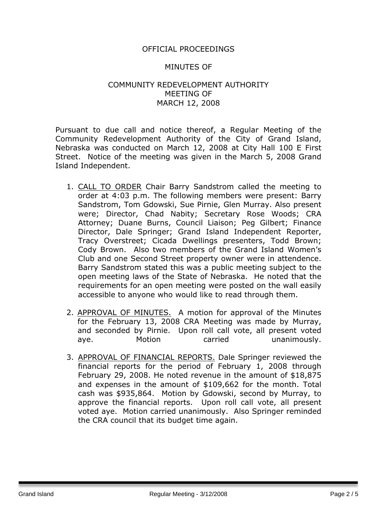#### OFFICIAL PROCEEDINGS

#### MINUTES OF

#### COMMUNITY REDEVELOPMENT AUTHORITY MEETING OF MARCH 12, 2008

Pursuant to due call and notice thereof, a Regular Meeting of the Community Redevelopment Authority of the City of Grand Island, Nebraska was conducted on March 12, 2008 at City Hall 100 E First Street. Notice of the meeting was given in the March 5, 2008 Grand Island Independent.

- 1. CALL TO ORDER Chair Barry Sandstrom called the meeting to order at 4:03 p.m. The following members were present: Barry Sandstrom, Tom Gdowski, Sue Pirnie, Glen Murray. Also present were; Director, Chad Nabity; Secretary Rose Woods; CRA Attorney; Duane Burns, Council Liaison; Peg Gilbert; Finance Director, Dale Springer; Grand Island Independent Reporter, Tracy Overstreet; Cicada Dwellings presenters, Todd Brown; Cody Brown. Also two members of the Grand Island Women's Club and one Second Street property owner were in attendence. Barry Sandstrom stated this was a public meeting subject to the open meeting laws of the State of Nebraska. He noted that the requirements for an open meeting were posted on the wall easily accessible to anyone who would like to read through them.
- 2. APPROVAL OF MINUTES. A motion for approval of the Minutes for the February 13, 2008 CRA Meeting was made by Murray, and seconded by Pirnie. Upon roll call vote, all present voted aye. Motion carried unanimously.
- 3. APPROVAL OF FINANCIAL REPORTS. Dale Springer reviewed the financial reports for the period of February 1, 2008 through February 29, 2008. He noted revenue in the amount of \$18,875 and expenses in the amount of \$109,662 for the month. Total cash was \$935,864. Motion by Gdowski, second by Murray, to approve the financial reports. Upon roll call vote, all present voted aye. Motion carried unanimously. Also Springer reminded the CRA council that its budget time again.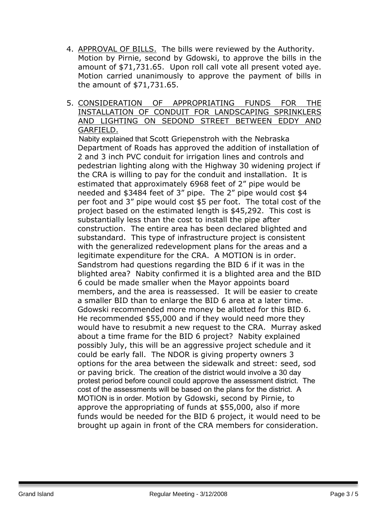- 4. APPROVAL OF BILLS. The bills were reviewed by the Authority. Motion by Pirnie, second by Gdowski, to approve the bills in the amount of \$71,731.65. Upon roll call vote all present voted aye. Motion carried unanimously to approve the payment of bills in the amount of \$71,731.65.
- 5. CONSIDERATION OF APPROPRIATING FUNDS FOR THE INSTALLATION OF CONDUIT FOR LANDSCAPING SPRINKLERS AND LIGHTING ON SEDOND STREET BETWEEN EDDY AND GARFIELD.

 Nabity explained that Scott Griepenstroh with the Nebraska Department of Roads has approved the addition of installation of 2 and 3 inch PVC conduit for irrigation lines and controls and pedestrian lighting along with the Highway 30 widening project if the CRA is willing to pay for the conduit and installation. It is estimated that approximately 6968 feet of 2" pipe would be needed and \$3484 feet of 3" pipe. The 2" pipe would cost \$4 per foot and 3" pipe would cost \$5 per foot. The total cost of the project based on the estimated length is \$45,292. This cost is substantially less than the cost to install the pipe after construction. The entire area has been declared blighted and substandard. This type of infrastructure project is consistent with the generalized redevelopment plans for the areas and a legitimate expenditure for the CRA. A MOTION is in order. Sandstrom had questions regarding the BID 6 if it was in the blighted area? Nabity confirmed it is a blighted area and the BID 6 could be made smaller when the Mayor appoints board members, and the area is reassessed. It will be easier to create a smaller BID than to enlarge the BID 6 area at a later time. Gdowski recommended more money be allotted for this BID 6. He recommended \$55,000 and if they would need more they would have to resubmit a new request to the CRA. Murray asked about a time frame for the BID 6 project? Nabity explained possibly July, this will be an aggressive project schedule and it could be early fall. The NDOR is giving property owners 3 options for the area between the sidewalk and street: seed, sod or paving brick. The creation of the district would involve a 30 day protest period before council could approve the assessment district. The cost of the assessments will be based on the plans for the district. A MOTION is in order. Motion by Gdowski, second by Pirnie, to approve the appropriating of funds at \$55,000, also if more funds would be needed for the BID 6 project, it would need to be brought up again in front of the CRA members for consideration.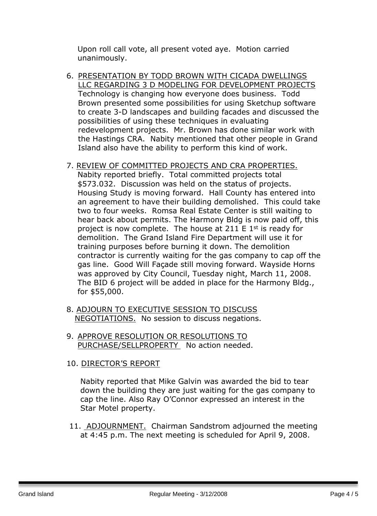Upon roll call vote, all present voted aye. Motion carried unanimously.

6. PRESENTATION BY TODD BROWN WITH CICADA DWELLINGS LLC REGARDING 3 D MODELING FOR DEVELOPMENT PROJECTS Technology is changing how everyone does business. Todd Brown presented some possibilities for using Sketchup software to create 3-D landscapes and building facades and discussed the possibilities of using these techniques in evaluating redevelopment projects. Mr. Brown has done similar work with the Hastings CRA. Nabity mentioned that other people in Grand Island also have the ability to perform this kind of work.

#### 7. REVIEW OF COMMITTED PROJECTS AND CRA PROPERTIES.

Nabity reported briefly. Total committed projects total \$573.032. Discussion was held on the status of projects. Housing Study is moving forward. Hall County has entered into an agreement to have their building demolished. This could take two to four weeks. Romsa Real Estate Center is still waiting to hear back about permits. The Harmony Bldg is now paid off, this project is now complete. The house at 211 E  $1<sup>st</sup>$  is ready for demolition. The Grand Island Fire Department will use it for training purposes before burning it down. The demolition contractor is currently waiting for the gas company to cap off the gas line. Good Will Façade still moving forward. Wayside Horns was approved by City Council, Tuesday night, March 11, 2008. The BID 6 project will be added in place for the Harmony Bldg., for \$55,000.

- 8. ADJOURN TO EXECUTIVE SESSION TO DISCUSS NEGOTIATIONS. No session to discuss negations.
- 9. APPROVE RESOLUTION OR RESOLUTIONS TO PURCHASE/SELLPROPERTY No action needed.

#### 10. DIRECTOR'S REPORT

Nabity reported that Mike Galvin was awarded the bid to tear down the building they are just waiting for the gas company to cap the line. Also Ray O'Connor expressed an interest in the Star Motel property.

11. ADJOURNMENT. Chairman Sandstrom adjourned the meeting at 4:45 p.m. The next meeting is scheduled for April 9, 2008.